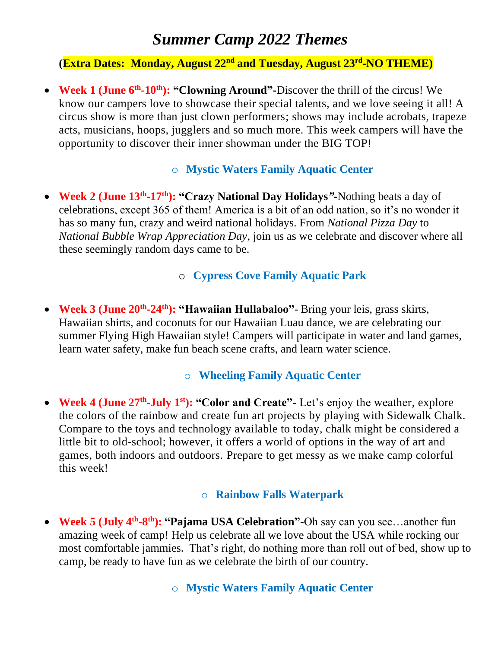# *Summer Camp 2022 Themes*

**(Extra Dates: Monday, August 22nd and Tuesday, August 23rd -NO THEME)**

• Week 1 (June 6<sup>th</sup>-10<sup>th</sup>): "Clowning Around"-Discover the thrill of the circus! We know our campers love to showcase their special talents, and we love seeing it all! A circus show is more than just clown performers; shows may include acrobats, trapeze acts, musicians, hoops, jugglers and so much more. This week campers will have the opportunity to discover their inner showman under the BIG TOP!

#### o **Mystic Waters Family Aquatic Center**

• **Week 2 (June 13th -17th): "Crazy National Day Holidays***"***-**Nothing beats a day of celebrations, except 365 of them! America is a bit of an odd nation, so it's no wonder it has so many fun, crazy and weird national holidays. From *National Pizza Day* to *National Bubble Wrap Appreciation Day*, join us as we celebrate and discover where all these seemingly random days came to be.

#### o **Cypress Cove Family Aquatic Park**

• **Week 3 (June 20th -24th): "Hawaiian Hullabaloo"**- Bring your leis, grass skirts, Hawaiian shirts, and coconuts for our Hawaiian Luau dance, we are celebrating our summer Flying High Hawaiian style! Campers will participate in water and land games, learn water safety, make fun beach scene crafts, and learn water science.

#### o **Wheeling Family Aquatic Center**

• Week 4 (June 27<sup>th</sup>-July 1<sup>st</sup>): "Color and Create" - Let's enjoy the weather, explore the colors of the rainbow and create fun art projects by playing with Sidewalk Chalk. Compare to the toys and technology available to today, chalk might be considered a little bit to old-school; however, it offers a world of options in the way of art and games, both indoors and outdoors. Prepare to get messy as we make camp colorful this week!

#### o **Rainbow Falls Waterpark**

• Week 5 (July 4<sup>th</sup>-8<sup>th</sup>): "Pajama USA Celebration"-Oh say can you see...another fun amazing week of camp! Help us celebrate all we love about the USA while rocking our most comfortable jammies. That's right, do nothing more than roll out of bed, show up to camp, be ready to have fun as we celebrate the birth of our country.

#### o **Mystic Waters Family Aquatic Center**